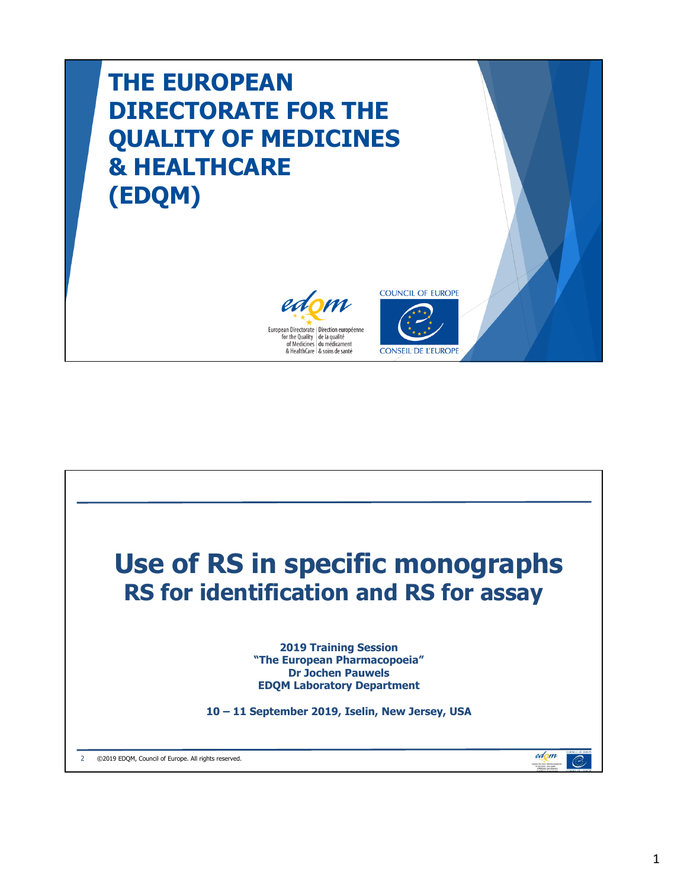# **THE EUROPEAN DIRECTORATE FOR THE QUALITY OF MEDICINES & HEALTHCARE (EDQM)**





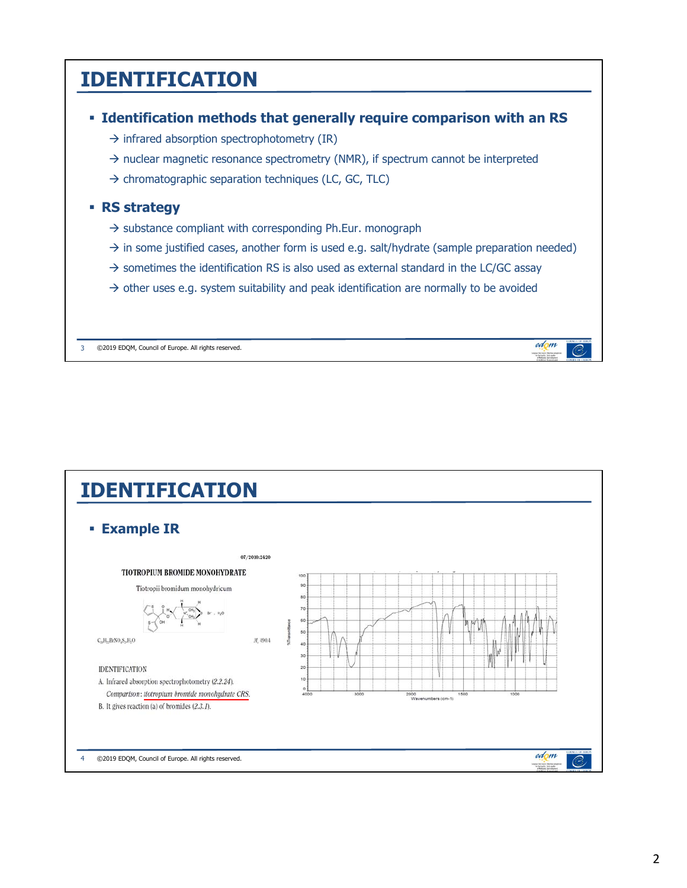### **IDENTIFICATION**



 $\rightarrow$  infrared absorption spectrophotometry (IR)

- $\rightarrow$  nuclear magnetic resonance spectrometry (NMR), if spectrum cannot be interpreted
- $\rightarrow$  chromatographic separation techniques (LC, GC, TLC)

#### **RS strategy**

- $\rightarrow$  substance compliant with corresponding Ph.Eur. monograph
- $\rightarrow$  in some justified cases, another form is used e.g. salt/hydrate (sample preparation needed)
- $\rightarrow$  sometimes the identification RS is also used as external standard in the LC/GC assay
- $\rightarrow$  other uses e.g. system suitability and peak identification are normally to be avoided

3 ©2019 EDQM, Council of Europe. All rights reserved.



edom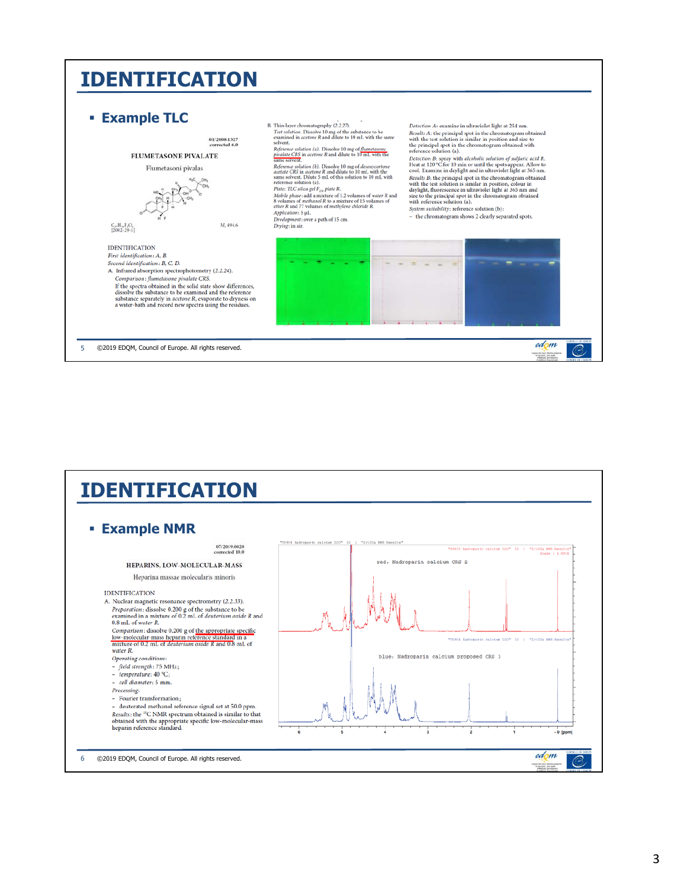### **IDENTIFICATION**



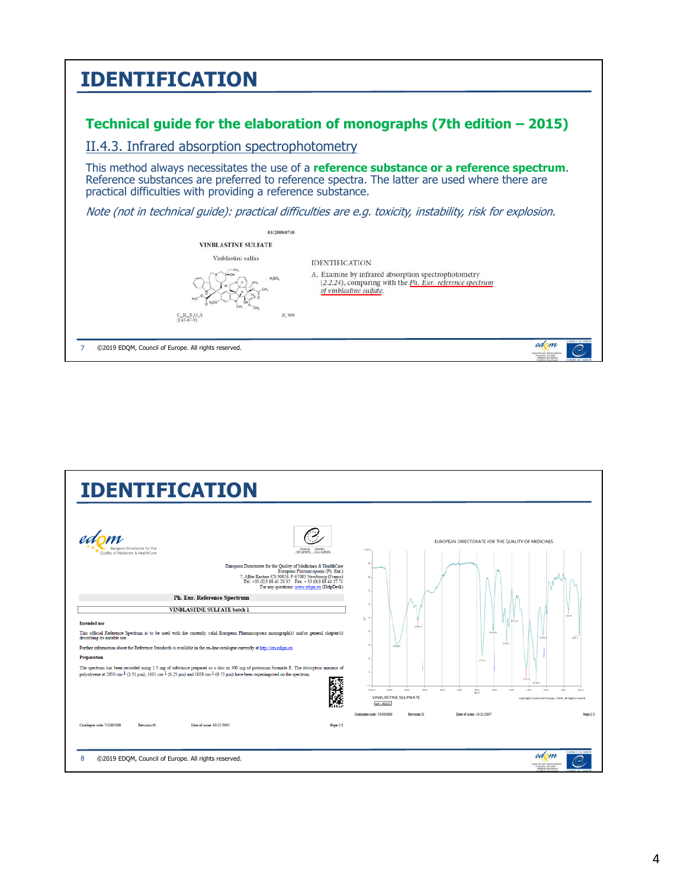| <b>IDENTIFICATION</b>                                                                                                                                                                                                                                             |
|-------------------------------------------------------------------------------------------------------------------------------------------------------------------------------------------------------------------------------------------------------------------|
| Technical guide for the elaboration of monographs (7th edition $-2015$ )                                                                                                                                                                                          |
| II.4.3. Infrared absorption spectrophotometry                                                                                                                                                                                                                     |
| This method always necessitates the use of a <b>reference substance or a reference spectrum</b> .<br>Reference substances are preferred to reference spectra. The latter are used where there are<br>practical difficulties with providing a reference substance. |
| Note (not in technical guide): practical difficulties are e.g. toxicity, instability, risk for explosion.                                                                                                                                                         |
| 01/2008:0748                                                                                                                                                                                                                                                      |
| <b>VINBLASTINE SULFATE</b>                                                                                                                                                                                                                                        |
| Vinblastini sulfas<br><b>IDENTIFICATION</b>                                                                                                                                                                                                                       |
| A. Examine by infrared absorption spectrophotometry<br>(2.2.24), comparing with the Ph. Eur. reference spectrum<br>of vinblastine sulfate.                                                                                                                        |
| M, 909<br>C. H. N.O. S<br>[143.67.9]                                                                                                                                                                                                                              |
| edom<br>©2019 EDQM, Council of Europe. All rights reserved.<br>for the Dunlity 1 die brittellit                                                                                                                                                                   |

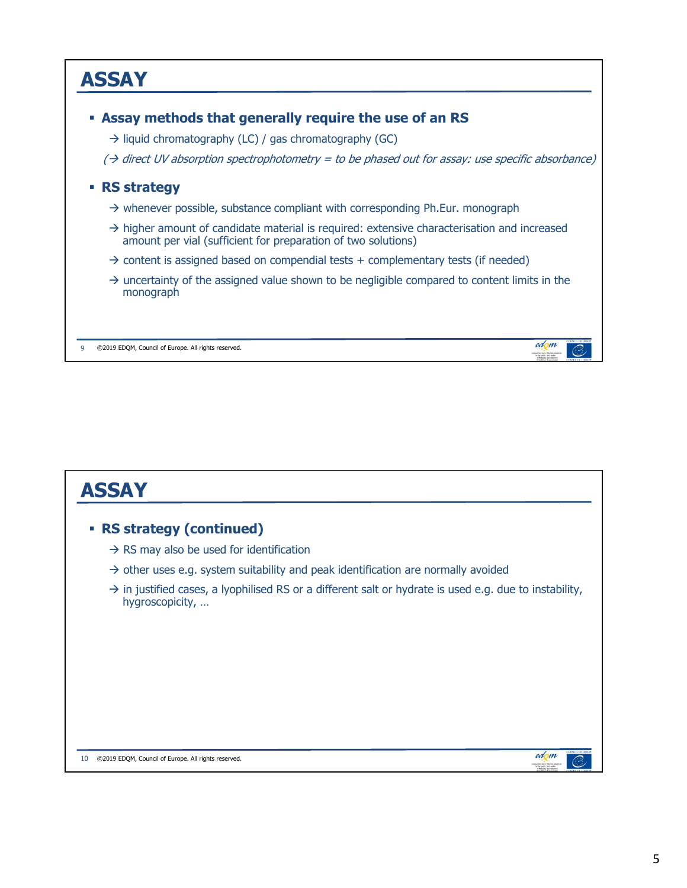

| <b>ASSAY</b>                                                                                                                          |
|---------------------------------------------------------------------------------------------------------------------------------------|
| <b>RS strategy (continued)</b><br>×.                                                                                                  |
| $\rightarrow$ RS may also be used for identification                                                                                  |
| $\rightarrow$ other uses e.g. system suitability and peak identification are normally avoided                                         |
| $\rightarrow$ in justified cases, a lyophilised RS or a different salt or hydrate is used e.g. due to instability,<br>hygroscopicity, |
| edom<br>©2019 EDOM, Council of Europe. All rights reserved.<br>10<br>by the Dunkty   de la tour                                       |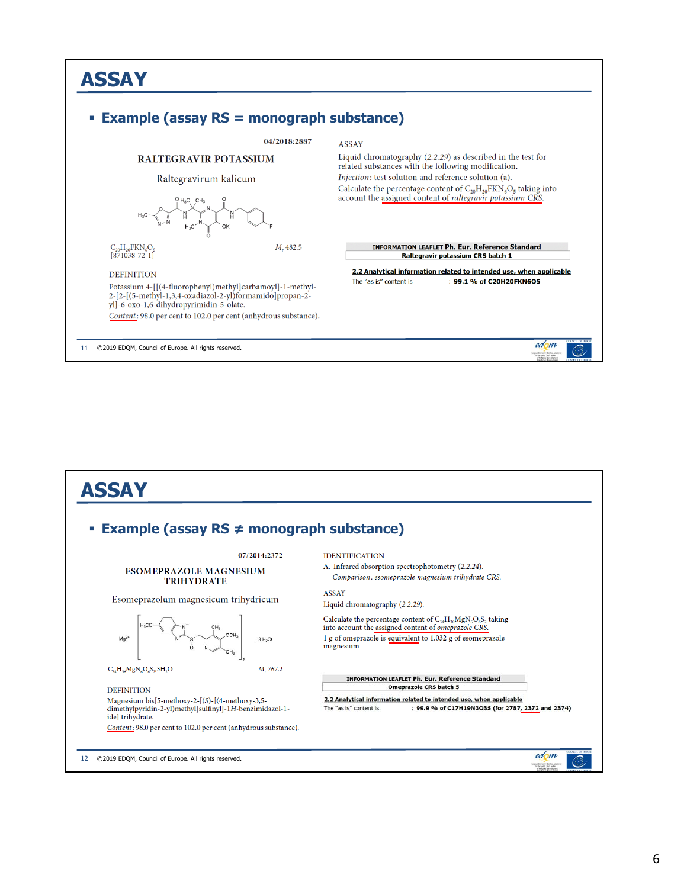## **ASSAY Example (assay RS = monograph substance)**  04/2018:2887 RALTEGRAVIR POTASSIUM

**ASSAY** 

Liquid chromatography (2.2.29) as described in the test for

Calculate the percentage content of  $C_{20}H_{20}FKN_6O_5$  taking into account the assigned content of raltegravir potassium CRS.

**INFORMATION LEAFLET Ph. Eur. Reference Standard** Raltegravir potassium CRS batch 1 2.2 Analytical information related to intended use, when applicable

: 99.1 % of C20H20FKN6O5

edom Man Dan Dawley<br>Tor The Dunlin

related substances with the following modification. Injection: test solution and reference solution (a).

The "as is" content is

Raltegravirum kalicum  $\text{C}_{20}\text{H}_{20}\text{FKN}_6\text{O}_5$  [871038-72-1]  $M_r$ 482.5

#### **DEFINITION**

Potassium 4-[[(4-fluorophenyl)methyl]carbamoyl]-1-methyl-2-[2-[(5-methyl-1,3,4-oxadiazol-2-yl)formamido]propan-2yl]-6-oxo-1,6-dihydropyrimidin-5-olate. Content: 98.0 per cent to 102.0 per cent (anhydrous substance).

11 ©2019 EDQM, Council of Europe. All rights reserved.

**ASSAY Example (assay RS ≠ monograph substance)** 07/2014:2372 **IDENTIFICATION** A. Infrared absorption spectrophotometry (2.2.24). **ESOMEPRAZOLE MAGNESIUM** Comparison: esomeprazole magnesium trihydrate CRS. **TRIHYDRATE ASSAY** Esomeprazolum magnesicum trihydricum Liquid chromatography (2.2.29). Calculate the percentage content of  $C_{34}H_{36}MgN_6O_6S_2$  taking into account the assigned content of *omeprazole* CRS. 1 g of omeprazole is equivalent to 1.032 g of esomeprazole  $Ma<sup>2</sup>$ magnesium.  $C_{34}H_{36}MgN_6O_6S_2, 3H_2O$ M, 767.2 **INFORMATION LEAFLET Ph. Eur. Reference Standard** Omeprazole CRS batch 5 **DEFINITION** 2.2 Analytical information related to intended use, when applicable Magnesium bis[5-methoxy-2-[(S)-[(4-methoxy-3,5-: 99.9 % of C17H19N3O3S (for 2787, 2372 and 2374) dimethylpyridin-2-yl)methyl]sulfinyl]-1H-benzimidazol-1-The "as is" content is ide] trihydrate. Content: 98.0 per cent to 102.0 per cent (anhydrous substance). edom 12 ©2019 EDQM, Council of Europe. All rights reserved. C

#### 6